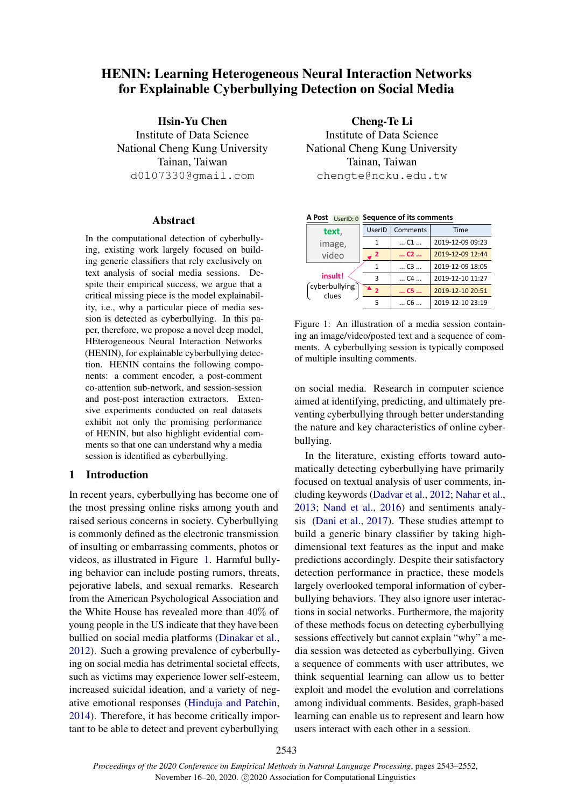# HENIN: Learning Heterogeneous Neural Interaction Networks for Explainable Cyberbullying Detection on Social Media

Hsin-Yu Chen Institute of Data Science National Cheng Kung University Tainan, Taiwan d0107330@gmail.com

#### Abstract

In the computational detection of cyberbullying, existing work largely focused on building generic classifiers that rely exclusively on text analysis of social media sessions. Despite their empirical success, we argue that a critical missing piece is the model explainability, i.e., why a particular piece of media session is detected as cyberbullying. In this paper, therefore, we propose a novel deep model, HEterogeneous Neural Interaction Networks (HENIN), for explainable cyberbullying detection. HENIN contains the following components: a comment encoder, a post-comment co-attention sub-network, and session-session and post-post interaction extractors. Extensive experiments conducted on real datasets exhibit not only the promising performance of HENIN, but also highlight evidential comments so that one can understand why a media session is identified as cyberbullying.

# 1 Introduction

In recent years, cyberbullying has become one of the most pressing online risks among youth and raised serious concerns in society. Cyberbullying is commonly defined as the electronic transmission of insulting or embarrassing comments, photos or videos, as illustrated in Figure [1.](#page-0-0) Harmful bullying behavior can include posting rumors, threats, pejorative labels, and sexual remarks. Research from the American Psychological Association and the White House has revealed more than 40% of young people in the US indicate that they have been bullied on social media platforms [\(Dinakar et al.,](#page-8-0) [2012\)](#page-8-0). Such a growing prevalence of cyberbullying on social media has detrimental societal effects, such as victims may experience lower self-esteem, increased suicidal ideation, and a variety of negative emotional responses [\(Hinduja and Patchin,](#page-8-1) [2014\)](#page-8-1). Therefore, it has become critically important to be able to detect and prevent cyberbullying

Cheng-Te Li Institute of Data Science National Cheng Kung University Tainan, Taiwan chengte@ncku.edu.tw

| USEIID.U               |                |                   |                  |  |  |
|------------------------|----------------|-------------------|------------------|--|--|
| text,                  | UserID         | Comments          | Time             |  |  |
| image,                 | 1              | $$ C1 $$          | 2019-12-09 09:23 |  |  |
| video                  | 2              | $$ C <sub>2</sub> | 2019-12-09 12:44 |  |  |
|                        | 1              | $$ C3 $$          | 2019-12-09 18:05 |  |  |
| insult!                | 3              | $$ C4 $$          | 2019-12-10 11:27 |  |  |
| cyberbullying<br>clues | $\overline{2}$ | $$ C5 $$          | 2019-12-10 20:51 |  |  |
|                        | 5              | C6                | 2019-12-10 23:19 |  |  |

<span id="page-0-0"></span>

|  | A Post UserID: 0 Sequence of its comments |  |
|--|-------------------------------------------|--|
|  |                                           |  |

Figure 1: An illustration of a media session containing an image/video/posted text and a sequence of comments. A cyberbullying session is typically composed of multiple insulting comments.

on social media. Research in computer science aimed at identifying, predicting, and ultimately preventing cyberbullying through better understanding the nature and key characteristics of online cyberbullying.

In the literature, existing efforts toward automatically detecting cyberbullying have primarily focused on textual analysis of user comments, including keywords [\(Dadvar et al.,](#page-8-2) [2012;](#page-8-2) [Nahar et al.,](#page-8-3) [2013;](#page-8-3) [Nand et al.,](#page-8-4) [2016\)](#page-8-4) and sentiments analysis [\(Dani et al.,](#page-8-5) [2017\)](#page-8-5). These studies attempt to build a generic binary classifier by taking highdimensional text features as the input and make predictions accordingly. Despite their satisfactory detection performance in practice, these models largely overlooked temporal information of cyberbullying behaviors. They also ignore user interactions in social networks. Furthermore, the majority of these methods focus on detecting cyberbullying sessions effectively but cannot explain "why" a media session was detected as cyberbullying. Given a sequence of comments with user attributes, we think sequential learning can allow us to better exploit and model the evolution and correlations among individual comments. Besides, graph-based learning can enable us to represent and learn how users interact with each other in a session.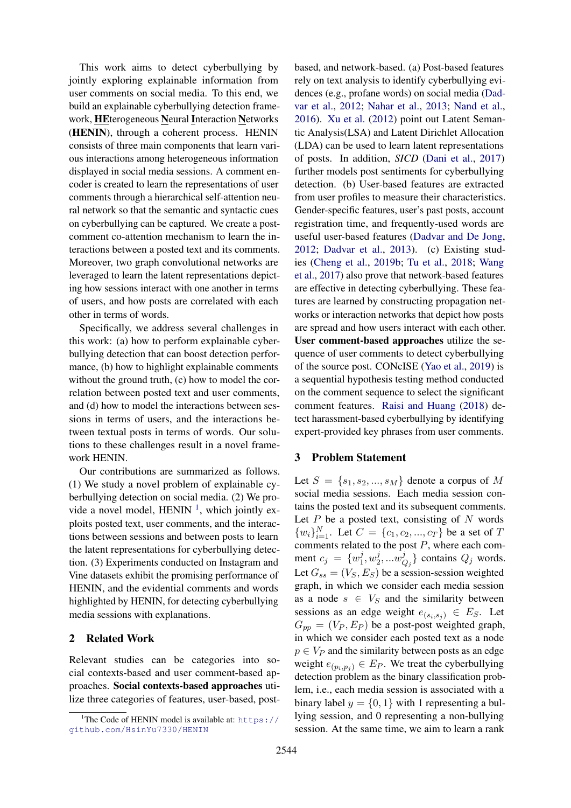This work aims to detect cyberbullying by jointly exploring explainable information from user comments on social media. To this end, we build an explainable cyberbullying detection framework, HEterogeneous Neural Interaction Networks (HENIN), through a coherent process. HENIN consists of three main components that learn various interactions among heterogeneous information displayed in social media sessions. A comment encoder is created to learn the representations of user comments through a hierarchical self-attention neural network so that the semantic and syntactic cues on cyberbullying can be captured. We create a postcomment co-attention mechanism to learn the interactions between a posted text and its comments. Moreover, two graph convolutional networks are leveraged to learn the latent representations depicting how sessions interact with one another in terms of users, and how posts are correlated with each other in terms of words.

Specifically, we address several challenges in this work: (a) how to perform explainable cyberbullying detection that can boost detection performance, (b) how to highlight explainable comments without the ground truth, (c) how to model the correlation between posted text and user comments, and (d) how to model the interactions between sessions in terms of users, and the interactions between textual posts in terms of words. Our solutions to these challenges result in a novel framework HENIN.

Our contributions are summarized as follows. (1) We study a novel problem of explainable cyberbullying detection on social media. (2) We provide a novel model, HENIN  $<sup>1</sup>$  $<sup>1</sup>$  $<sup>1</sup>$ , which jointly ex-</sup> ploits posted text, user comments, and the interactions between sessions and between posts to learn the latent representations for cyberbullying detection. (3) Experiments conducted on Instagram and Vine datasets exhibit the promising performance of HENIN, and the evidential comments and words highlighted by HENIN, for detecting cyberbullying media sessions with explanations.

# 2 Related Work

Relevant studies can be categories into social contexts-based and user comment-based approaches. Social contexts-based approaches utilize three categories of features, user-based, postbased, and network-based. (a) Post-based features rely on text analysis to identify cyberbullying evidences (e.g., profane words) on social media [\(Dad](#page-8-2)[var et al.,](#page-8-2) [2012;](#page-8-2) [Nahar et al.,](#page-8-3) [2013;](#page-8-3) [Nand et al.,](#page-8-4) [2016\)](#page-8-4). [Xu et al.](#page-9-0) [\(2012\)](#page-9-0) point out Latent Semantic Analysis(LSA) and Latent Dirichlet Allocation (LDA) can be used to learn latent representations of posts. In addition, *SICD* [\(Dani et al.,](#page-8-5) [2017\)](#page-8-5) further models post sentiments for cyberbullying detection. (b) User-based features are extracted from user profiles to measure their characteristics. Gender-specific features, user's past posts, account registration time, and frequently-used words are useful user-based features [\(Dadvar and De Jong,](#page-8-6) [2012;](#page-8-6) [Dadvar et al.,](#page-8-7) [2013\)](#page-8-7). (c) Existing studies [\(Cheng et al.,](#page-8-8) [2019b;](#page-8-8) [Tu et al.,](#page-9-1) [2018;](#page-9-1) [Wang](#page-9-2) [et al.,](#page-9-2) [2017\)](#page-9-2) also prove that network-based features are effective in detecting cyberbullying. These features are learned by constructing propagation networks or interaction networks that depict how posts are spread and how users interact with each other. User comment-based approaches utilize the sequence of user comments to detect cyberbullying of the source post. CONcISE [\(Yao et al.,](#page-9-3) [2019\)](#page-9-3) is a sequential hypothesis testing method conducted on the comment sequence to select the significant comment features. [Raisi and Huang](#page-9-4) [\(2018\)](#page-9-4) detect harassment-based cyberbullying by identifying expert-provided key phrases from user comments.

## 3 Problem Statement

Let  $S = \{s_1, s_2, ..., s_M\}$  denote a corpus of M social media sessions. Each media session contains the posted text and its subsequent comments. Let  $P$  be a posted text, consisting of  $N$  words  ${w_i}_{i=1}^N$ . Let  $C = {c_1, c_2, ..., c_T}$  be a set of T comments related to the post  $P$ , where each comment  $c_j = \{w_1^j\}$  $j_1^j,w_2^j$  $x_2^j,...\hat {w^j_{\mathcal{C}}}$  $Q_j$  contains  $Q_j$  words. Let  $G_{ss} = (V_S, E_S)$  be a session-session weighted graph, in which we consider each media session as a node  $s \in V_S$  and the similarity between sessions as an edge weight  $e_{(s_i,s_j)} \in E_S$ . Let  $G_{pp} = (V_P, E_P)$  be a post-post weighted graph, in which we consider each posted text as a node  $p \in V_P$  and the similarity between posts as an edge weight  $e_{(p_i,p_j)} \in E_P$ . We treat the cyberbullying detection problem as the binary classification problem, i.e., each media session is associated with a binary label  $y = \{0, 1\}$  with 1 representing a bullying session, and 0 representing a non-bullying session. At the same time, we aim to learn a rank

<span id="page-1-0"></span><sup>&</sup>lt;sup>1</sup>The Code of HENIN model is available at: [https://](https://github.com/HsinYu7330/HENIN) [github.com/HsinYu7330/HENIN](https://github.com/HsinYu7330/HENIN)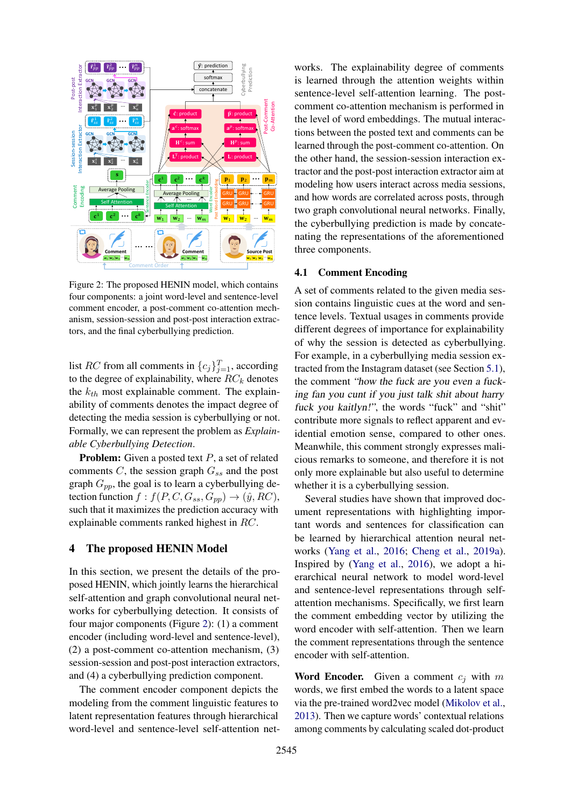<span id="page-2-0"></span>

Figure 2: The proposed HENIN model, which contains four components: a joint word-level and sentence-level comment encoder, a post-comment co-attention mechanism, session-session and post-post interaction extractors, and the final cyberbullying prediction.

list RC from all comments in  $\{c_j\}_{j=1}^T$ , according to the degree of explainability, where  $RC_k$  denotes the  $k_{th}$  most explainable comment. The explainability of comments denotes the impact degree of detecting the media session is cyberbullying or not. Formally, we can represent the problem as *Explainable Cyberbullying Detection*.

**Problem:** Given a posted text  $P$ , a set of related comments  $C$ , the session graph  $G_{ss}$  and the post graph  $G_{pp}$ , the goal is to learn a cyberbullying detection function  $f : f(P, C, G_{ss}, G_{pp}) \rightarrow (\hat{y}, RC)$ , such that it maximizes the prediction accuracy with explainable comments ranked highest in RC.

#### 4 The proposed HENIN Model

In this section, we present the details of the proposed HENIN, which jointly learns the hierarchical self-attention and graph convolutional neural networks for cyberbullying detection. It consists of four major components (Figure [2\)](#page-2-0): (1) a comment encoder (including word-level and sentence-level), (2) a post-comment co-attention mechanism, (3) session-session and post-post interaction extractors, and (4) a cyberbullying prediction component.

The comment encoder component depicts the modeling from the comment linguistic features to latent representation features through hierarchical word-level and sentence-level self-attention networks. The explainability degree of comments is learned through the attention weights within sentence-level self-attention learning. The postcomment co-attention mechanism is performed in the level of word embeddings. The mutual interactions between the posted text and comments can be learned through the post-comment co-attention. On the other hand, the session-session interaction extractor and the post-post interaction extractor aim at modeling how users interact across media sessions, and how words are correlated across posts, through two graph convolutional neural networks. Finally, the cyberbullying prediction is made by concatenating the representations of the aforementioned three components.

# 4.1 Comment Encoding

A set of comments related to the given media session contains linguistic cues at the word and sentence levels. Textual usages in comments provide different degrees of importance for explainability of why the session is detected as cyberbullying. For example, in a cyberbullying media session extracted from the Instagram dataset (see Section [5.1\)](#page-4-0), the comment "how the fuck are you even a fucking fan you cunt if you just talk shit about harry fuck you kaitlyn!", the words "fuck" and "shit" contribute more signals to reflect apparent and evidential emotion sense, compared to other ones. Meanwhile, this comment strongly expresses malicious remarks to someone, and therefore it is not only more explainable but also useful to determine whether it is a cyberbullying session.

Several studies have shown that improved document representations with highlighting important words and sentences for classification can be learned by hierarchical attention neural networks [\(Yang et al.,](#page-9-5) [2016;](#page-9-5) [Cheng et al.,](#page-8-9) [2019a\)](#page-8-9). Inspired by [\(Yang et al.,](#page-9-5) [2016\)](#page-9-5), we adopt a hierarchical neural network to model word-level and sentence-level representations through selfattention mechanisms. Specifically, we first learn the comment embedding vector by utilizing the word encoder with self-attention. Then we learn the comment representations through the sentence encoder with self-attention.

**Word Encoder.** Given a comment  $c_i$  with m words, we first embed the words to a latent space via the pre-trained word2vec model [\(Mikolov et al.,](#page-8-10) [2013\)](#page-8-10). Then we capture words' contextual relations among comments by calculating scaled dot-product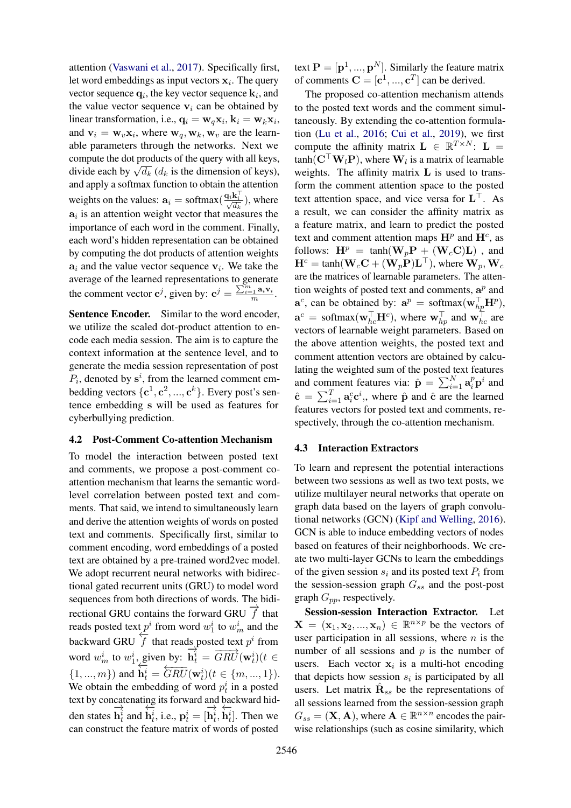attention [\(Vaswani et al.,](#page-9-6) [2017\)](#page-9-6). Specifically first, let word embeddings as input vectors  $x_i$ . The query vector sequence  $\mathbf{q}_i$ , the key vector sequence  $\mathbf{k}_i$ , and the value vector sequence  $v_i$  can be obtained by linear transformation, i.e.,  $\mathbf{q}_i = \mathbf{w}_q \mathbf{x}_i, \mathbf{k}_i = \mathbf{w}_k \mathbf{x}_i$ , and  $v_i = w_v x_i$ , where  $w_q, w_k, w_v$  are the learnable parameters through the networks. Next we compute the dot products of the query with all keys, compute the dot products of the query with an keys,<br>divide each by  $\sqrt{d_k}$  ( $d_k$  is the dimension of keys), and apply a softmax function to obtain the attention weights on the values:  $\mathbf{a}_i = \text{softmax}(\frac{\mathbf{q}_i \mathbf{k}_i^{\top}}{\sqrt{d_k}})$ , where  $a_i$  is an attention weight vector that measures the importance of each word in the comment. Finally, each word's hidden representation can be obtained by computing the dot products of attention weights  $a_i$  and the value vector sequence  $v_i$ . We take the average of the learned representations to generate the comment vector  $\mathbf{c}^j$ , given by:  $\mathbf{c}^j = \frac{\sum_{i=1}^m \mathbf{a}_i \mathbf{v}_i}{m}$ .

Sentence Encoder. Similar to the word encoder, we utilize the scaled dot-product attention to encode each media session. The aim is to capture the context information at the sentence level, and to generate the media session representation of post  $P_i$ , denoted by  $s^i$ , from the learned comment embedding vectors  $\{c^1, c^2, ..., c^k\}$ . Every post's sentence embedding s will be used as features for cyberbullying prediction.

#### 4.2 Post-Comment Co-attention Mechanism

To model the interaction between posted text and comments, we propose a post-comment coattention mechanism that learns the semantic wordlevel correlation between posted text and comments. That said, we intend to simultaneously learn and derive the attention weights of words on posted text and comments. Specifically first, similar to comment encoding, word embeddings of a posted text are obtained by a pre-trained word2vec model. We adopt recurrent neural networks with bidirectional gated recurrent units (GRU) to model word sequences from both directions of words. The bidirectional GRU contains the forward GRU  $\overrightarrow{f}$  that reads posted text  $p^i$  from word  $w_1^i$  to  $w_m^i$  and the backward GRU  $\overline{f}$  that reads posted text  $p^i$  from word  $w_m^i$  to  $w_1^i$ , given by: −→ given by:  $\overrightarrow{\mathbf{h}_t^i} = \overrightarrow{GRU}(\mathbf{w}_t^i)(t \in$ {1, ..., m}) and  $\mathbf{h}_t^i = \overbrace{GRU}^{i}(\mathbf{w}_t^i)$  ( $t \in \{m, ..., 1\}$ ). We obtain the embedding of word  $p_t^i$  in a posted text by concatenating its forward and backward hidden states  $\rightarrow$  $\mathbf{h}_t^i$  and ←−  $\mathbf{h}_t^i$ , i.e.,  $\mathbf{p}_t^i = [$  $\rightarrow$  $\mathbf{h}_t^i,$ ←−  $\dot{\mathbf{h}}_t^i$ . Then we can construct the feature matrix of words of posted

text  $\mathbf{P} = [\mathbf{p}^1, ..., \mathbf{p}^N]$ . Similarly the feature matrix of comments  $\mathbf{C} = [\mathbf{c}^1, ..., \mathbf{c}^T]$  can be derived.

The proposed co-attention mechanism attends to the posted text words and the comment simultaneously. By extending the co-attention formulation [\(Lu et al.,](#page-8-11) [2016;](#page-8-11) [Cui et al.,](#page-8-12) [2019\)](#page-8-12), we first compute the affinity matrix  $\mathbf{L} \in \mathbb{R}^{T \times N}$ :  $\mathbf{L} =$  $tanh(C^{\top}W_lP)$ , where  $W_l$  is a matrix of learnable weights. The affinity matrix L is used to transform the comment attention space to the posted text attention space, and vice versa for  $L^{\top}$ . As a result, we can consider the affinity matrix as a feature matrix, and learn to predict the posted text and comment attention maps  $\mathbf{H}^p$  and  $\mathbf{H}^c$ , as follows:  $\mathbf{H}^p = \tanh(\mathbf{W}_p \mathbf{P} + (\mathbf{W}_c \mathbf{C}) \mathbf{L})$ , and  $\mathbf{H}^c = \tanh(\mathbf{W}_c \mathbf{C} + (\mathbf{W}_p \mathbf{P}) \mathbf{L}^\top)$ , where  $\mathbf{W}_p$ ,  $\mathbf{W}_c$ are the matrices of learnable parameters. The attention weights of posted text and comments,  $a^p$  and  $\mathbf{a}^c$ , can be obtained by:  $\mathbf{a}^p = \text{softmax}(\mathbf{w}_{hp}^\top \mathbf{H}^p)$ ,  $\mathbf{a}^c = \text{softmax}(\mathbf{w}_{hc}^\top \mathbf{H}^c)$ , where  $\mathbf{w}_{hp}^\top$  and  $\mathbf{w}_{hc}^\top$  are vectors of learnable weight parameters. Based on the above attention weights, the posted text and comment attention vectors are obtained by calculating the weighted sum of the posted text features and comment features via:  $\hat{\mathbf{p}} = \sum_{i=1}^{N} \mathbf{a}_i^p \mathbf{p}^i$  and  $\hat{\mathbf{c}} = \sum_{i=1}^{T} \mathbf{a}_i^c \mathbf{c}^i$ , where  $\hat{\mathbf{p}}$  and  $\hat{\mathbf{c}}$  are the learned features vectors for posted text and comments, respectively, through the co-attention mechanism.

#### 4.3 Interaction Extractors

To learn and represent the potential interactions between two sessions as well as two text posts, we utilize multilayer neural networks that operate on graph data based on the layers of graph convolutional networks (GCN) [\(Kipf and Welling,](#page-8-13) [2016\)](#page-8-13). GCN is able to induce embedding vectors of nodes based on features of their neighborhoods. We create two multi-layer GCNs to learn the embeddings of the given session  $s_i$  and its posted text  $P_i$  from the session-session graph  $G_{ss}$  and the post-post graph  $G_{pp}$ , respectively.

Session-session Interaction Extractor. Let  $\mathbf{X} = (\mathbf{x}_1, \mathbf{x}_2, ..., \mathbf{x}_n) \in \mathbb{R}^{n \times p}$  be the vectors of user participation in all sessions, where  $n$  is the number of all sessions and  $p$  is the number of users. Each vector  $x_i$  is a multi-hot encoding that depicts how session  $s_i$  is participated by all users. Let matrix  $\hat{\mathbf{R}}_{ss}$  be the representations of all sessions learned from the session-session graph  $G_{ss} = (\mathbf{X}, \mathbf{A})$ , where  $\mathbf{A} \in \mathbb{R}^{n \times n}$  encodes the pairwise relationships (such as cosine similarity, which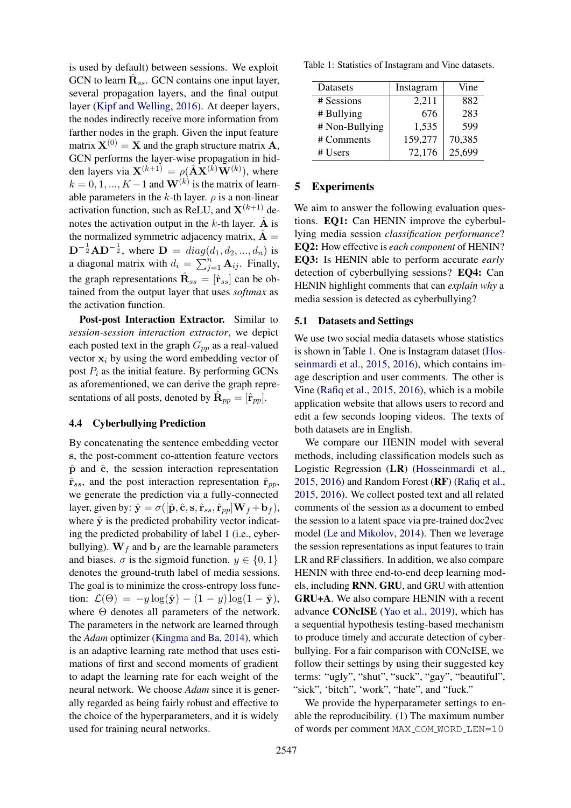is used by default) between sessions. We exploit GCN to learn  $\hat{\mathbf{R}}_{ss}$ . GCN contains one input layer, several propagation layers, and the final output layer [\(Kipf and Welling,](#page-8-13) [2016\)](#page-8-13). At deeper layers, the nodes indirectly receive more information from farther nodes in the graph. Given the input feature matrix  $X^{(0)} = X$  and the graph structure matrix A, GCN performs the layer-wise propagation in hidden layers via  $\mathbf{X}^{(k+1)} = \rho(\hat{\mathbf{A}}\mathbf{X}^{(k)}\mathbf{W}^{(k)})$ , where  $k = 0, 1, ..., K - 1$  and  $\mathbf{W}^{(k)}$  is the matrix of learnable parameters in the k-th layer.  $\rho$  is a non-linear activation function, such as ReLU, and  $X^{(k+1)}$  denotes the activation output in the  $k$ -th layer. A is the normalized symmetric adjacency matrix,  $\hat{A} =$  ${\bf D}^{-\frac{1}{2}}{\bf A}{\bf D}^{-\frac{1}{2}}$ , where  ${\bf D} = diag(d_1, d_2, ..., d_n)$  is a diagonal matrix with  $d_i = \sum_{j=1}^n \mathbf{A}_{ij}$ . Finally, the graph representations  $\hat{\mathbf{R}}_{ss} = [\hat{\mathbf{r}}_{ss}]$  can be obtained from the output layer that uses *softmax* as the activation function.

Post-post Interaction Extractor. Similar to *session-session interaction extractor*, we depict each posted text in the graph  $G_{pp}$  as a real-valued vector  $x_i$  by using the word embedding vector of post  $P_i$  as the initial feature. By performing GCNs as aforementioned, we can derive the graph representations of all posts, denoted by  $\hat{\mathbf{R}}_{pp} = [\hat{\mathbf{r}}_{pp}]$ .

#### 4.4 Cyberbullying Prediction

By concatenating the sentence embedding vector s, the post-comment co-attention feature vectors  $\hat{p}$  and  $\hat{c}$ , the session interaction representation  $\hat{\mathbf{r}}_{ss}$ , and the post interaction representation  $\hat{\mathbf{r}}_{pp}$ , we generate the prediction via a fully-connected layer, given by:  $\hat{\mathbf{y}} = \sigma([\hat{\mathbf{p}}, \hat{\mathbf{c}}, \mathbf{s}, \hat{\mathbf{r}}_{ss}, \hat{\mathbf{r}}_{pp}]\mathbf{W}_f + \mathbf{b}_f),$ where  $\hat{y}$  is the predicted probability vector indicating the predicted probability of label 1 (i.e., cyberbullying).  $W_f$  and  $b_f$  are the learnable parameters and biases.  $\sigma$  is the sigmoid function.  $y \in \{0, 1\}$ denotes the ground-truth label of media sessions. The goal is to minimize the cross-entropy loss function:  $\mathcal{L}(\Theta) = -y \log(\hat{\mathbf{y}}) - (1 - y) \log(1 - \hat{\mathbf{y}}),$ where  $\Theta$  denotes all parameters of the network. The parameters in the network are learned through the *Adam* optimizer [\(Kingma and Ba,](#page-8-14) [2014\)](#page-8-14), which is an adaptive learning rate method that uses estimations of first and second moments of gradient to adapt the learning rate for each weight of the neural network. We choose *Adam* since it is generally regarded as being fairly robust and effective to the choice of the hyperparameters, and it is widely used for training neural networks.

<span id="page-4-1"></span>Table 1: Statistics of Instagram and Vine datasets.

| Datasets       | Instagram | Vine   |
|----------------|-----------|--------|
| # Sessions     | 2,211     | 882    |
| # Bullying     | 676       | 283    |
| # Non-Bullying | 1,535     | 599    |
| # Comments     | 159,277   | 70,385 |
| # Users        | 72,176    | 25,699 |

#### 5 Experiments

We aim to answer the following evaluation questions. EQ1: Can HENIN improve the cyberbullying media session *classification performance*? EQ2: How effective is *each component* of HENIN? EQ3: Is HENIN able to perform accurate *early* detection of cyberbullying sessions? EQ4: Can HENIN highlight comments that can *explain why* a media session is detected as cyberbullying?

#### <span id="page-4-0"></span>5.1 Datasets and Settings

We use two social media datasets whose statistics is shown in Table [1.](#page-4-1) One is Instagram dataset [\(Hos](#page-8-15)[seinmardi et al.,](#page-8-15) [2015,](#page-8-15) [2016\)](#page-8-16), which contains image description and user comments. The other is Vine [\(Rafiq et al.,](#page-8-17) [2015,](#page-8-17) [2016\)](#page-8-18), which is a mobile application website that allows users to record and edit a few seconds looping videos. The texts of both datasets are in English.

We compare our HENIN model with several methods, including classification models such as Logistic Regression (LR) [\(Hosseinmardi et al.,](#page-8-15)  $2015$ ,  $2016$ ) and Random Forest ( $RF$ ) [\(Rafiq et al.,](#page-8-17) [2015,](#page-8-17) [2016\)](#page-8-18). We collect posted text and all related comments of the session as a document to embed the session to a latent space via pre-trained doc2vec model [\(Le and Mikolov,](#page-8-19) [2014\)](#page-8-19). Then we leverage the session representations as input features to train LR and RF classifiers. In addition, we also compare HENIN with three end-to-end deep learning models, including RNN, GRU, and GRU with attention GRU+A. We also compare HENIN with a recent advance CONcISE [\(Yao et al.,](#page-9-3) [2019\)](#page-9-3), which has a sequential hypothesis testing-based mechanism to produce timely and accurate detection of cyberbullying. For a fair comparison with CONcISE, we follow their settings by using their suggested key terms: "ugly", "shut", "suck", "gay", "beautiful", "sick", 'bitch", 'work", "hate", and "fuck."

We provide the hyperparameter settings to enable the reproducibility. (1) The maximum number of words per comment MAX COM WORD LEN=10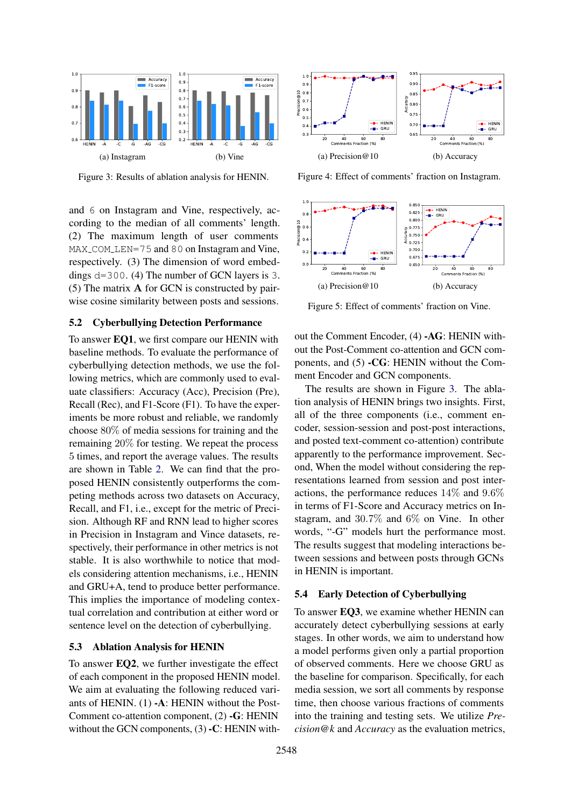<span id="page-5-0"></span>

Figure 3: Results of ablation analysis for HENIN.

and 6 on Instagram and Vine, respectively, according to the median of all comments' length. (2) The maximum length of user comments MAX\_COM\_LEN=75 and 80 on Instagram and Vine, respectively. (3) The dimension of word embeddings d=300. (4) The number of GCN layers is 3. (5) The matrix A for GCN is constructed by pairwise cosine similarity between posts and sessions.

# 5.2 Cyberbullying Detection Performance

To answer EQ1, we first compare our HENIN with baseline methods. To evaluate the performance of cyberbullying detection methods, we use the following metrics, which are commonly used to evaluate classifiers: Accuracy (Acc), Precision (Pre), Recall (Rec), and F1-Score (F1). To have the experiments be more robust and reliable, we randomly choose 80% of media sessions for training and the remaining 20% for testing. We repeat the process 5 times, and report the average values. The results are shown in Table [2.](#page-6-0) We can find that the proposed HENIN consistently outperforms the competing methods across two datasets on Accuracy, Recall, and F1, i.e., except for the metric of Precision. Although RF and RNN lead to higher scores in Precision in Instagram and Vince datasets, respectively, their performance in other metrics is not stable. It is also worthwhile to notice that models considering attention mechanisms, i.e., HENIN and GRU+A, tend to produce better performance. This implies the importance of modeling contextual correlation and contribution at either word or sentence level on the detection of cyberbullying.

#### <span id="page-5-3"></span>5.3 Ablation Analysis for HENIN

To answer EQ2, we further investigate the effect of each component in the proposed HENIN model. We aim at evaluating the following reduced variants of HENIN. (1) -A: HENIN without the Post-Comment co-attention component, (2) -G: HENIN without the GCN components, (3) -C: HENIN with-

<span id="page-5-1"></span>

<span id="page-5-2"></span>Figure 4: Effect of comments' fraction on Instagram.



Figure 5: Effect of comments' fraction on Vine.

out the Comment Encoder, (4) -AG: HENIN without the Post-Comment co-attention and GCN components, and (5) -CG: HENIN without the Comment Encoder and GCN components.

The results are shown in Figure [3.](#page-5-0) The ablation analysis of HENIN brings two insights. First, all of the three components (i.e., comment encoder, session-session and post-post interactions, and posted text-comment co-attention) contribute apparently to the performance improvement. Second, When the model without considering the representations learned from session and post interactions, the performance reduces 14% and 9.6% in terms of F1-Score and Accuracy metrics on Instagram, and 30.7% and 6% on Vine. In other words, "-G" models hurt the performance most. The results suggest that modeling interactions between sessions and between posts through GCNs in HENIN is important.

## 5.4 Early Detection of Cyberbullying

To answer EQ3, we examine whether HENIN can accurately detect cyberbullying sessions at early stages. In other words, we aim to understand how a model performs given only a partial proportion of observed comments. Here we choose GRU as the baseline for comparison. Specifically, for each media session, we sort all comments by response time, then choose various fractions of comments into the training and testing sets. We utilize *Precision@k* and *Accuracy* as the evaluation metrics,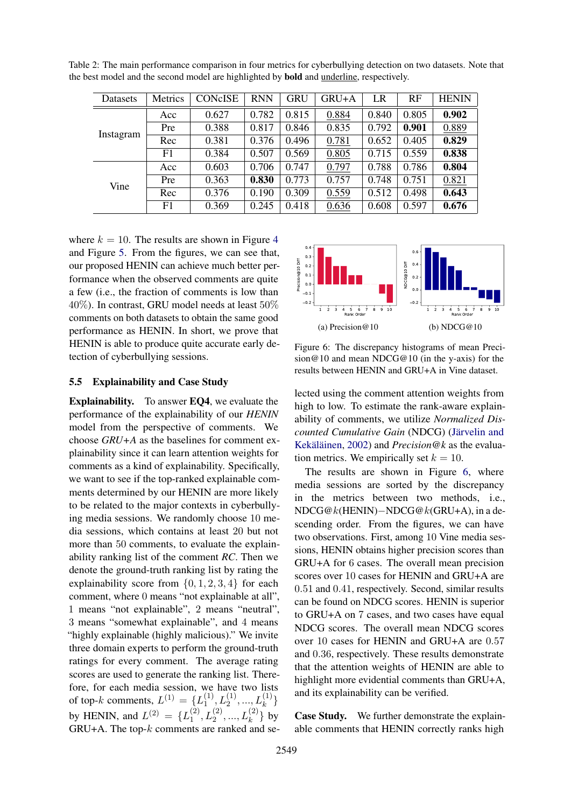<span id="page-6-0"></span>

| Table 2: The main performance comparison in four metrics for cyberbullying detection on two datasets. Note that |  |
|-----------------------------------------------------------------------------------------------------------------|--|
| the best model and the second model are highlighted by <b>bold</b> and <i>underline</i> , respectively.         |  |

| Datasets  | Metrics | <b>CONCISE</b> | <b>RNN</b> | GRU   | GRU+A | LR    | RF    | <b>HENIN</b> |
|-----------|---------|----------------|------------|-------|-------|-------|-------|--------------|
|           | Acc     | 0.627          | 0.782      | 0.815 | 0.884 | 0.840 | 0.805 | 0.902        |
| Instagram | Pre     | 0.388          | 0.817      | 0.846 | 0.835 | 0.792 | 0.901 | 0.889        |
|           | Rec     | 0.381          | 0.376      | 0.496 | 0.781 | 0.652 | 0.405 | 0.829        |
|           | F1      | 0.384          | 0.507      | 0.569 | 0.805 | 0.715 | 0.559 | 0.838        |
| Vine      | Acc     | 0.603          | 0.706      | 0.747 | 0.797 | 0.788 | 0.786 | 0.804        |
|           | Pre     | 0.363          | 0.830      | 0.773 | 0.757 | 0.748 | 0.751 | 0.821        |
|           | Rec     | 0.376          | 0.190      | 0.309 | 0.559 | 0.512 | 0.498 | 0.643        |
|           | F1      | 0.369          | 0.245      | 0.418 | 0.636 | 0.608 | 0.597 | 0.676        |

where  $k = 10$ . The results are shown in Figure [4](#page-5-1) and Figure [5.](#page-5-2) From the figures, we can see that, our proposed HENIN can achieve much better performance when the observed comments are quite a few (i.e., the fraction of comments is low than 40%). In contrast, GRU model needs at least 50% comments on both datasets to obtain the same good performance as HENIN. In short, we prove that HENIN is able to produce quite accurate early detection of cyberbullying sessions.

#### <span id="page-6-1"></span>1 2 3 4 5 6 7 8 9 10 Rank Order  $0.2 +$  $0.1 +$  $0.0$  $0.1$  $0.2$  $0.3 +$  $0.4 +$ Precision@10 Diff (a) Precision@10 1 2 3 4 5 6 7 8 9 10 Rank Order  $-0.2 +$ 0.0  $0.2 +$  $0.4 +$ 0.6 NDCG@10 Diff (b) NDCG@10

#### 5.5 Explainability and Case Study

Explainability. To answer EQ4, we evaluate the performance of the explainability of our *HENIN* model from the perspective of comments. We choose *GRU+A* as the baselines for comment explainability since it can learn attention weights for comments as a kind of explainability. Specifically, we want to see if the top-ranked explainable comments determined by our HENIN are more likely to be related to the major contexts in cyberbullying media sessions. We randomly choose 10 media sessions, which contains at least 20 but not more than 50 comments, to evaluate the explainability ranking list of the comment *RC*. Then we denote the ground-truth ranking list by rating the explainability score from  $\{0, 1, 2, 3, 4\}$  for each comment, where 0 means "not explainable at all", 1 means "not explainable", 2 means "neutral", 3 means "somewhat explainable", and 4 means "highly explainable (highly malicious)." We invite three domain experts to perform the ground-truth ratings for every comment. The average rating scores are used to generate the ranking list. Therefore, for each media session, we have two lists of top-k comments,  $L^{(1)} = \{L_1^{(1)}\}$  $\{1, L_2^{(1)}, ..., L_k^{(1)}\}$ by HENIN, and  $L^{(2)} = \{L_1^{(2)}\}$  $\{L_{1}^{(2)}, L_{2}^{(2)}, ..., L_{k}^{(2)}\}$  by  $GRU+A$ . The top- $k$  comments are ranked and sesion@10 and mean NDCG@10 (in the y-axis) for the results between HENIN and GRU+A in Vine dataset. lected using the comment attention weights from high to low. To estimate the rank-aware explainability of comments, we utilize *Normalized Dis-*

Figure 6: The discrepancy histograms of mean Preci-

*counted Cumulative Gain* (NDCG) [\(Jarvelin and](#page-8-20) ¨ Kekäläinen, [2002\)](#page-8-20) and *Precision@k* as the evaluation metrics. We empirically set  $k = 10$ .

The results are shown in Figure [6,](#page-6-1) where media sessions are sorted by the discrepancy in the metrics between two methods, i.e., NDCG@k(HENIN)−NDCG@k(GRU+A), in a descending order. From the figures, we can have two observations. First, among 10 Vine media sessions, HENIN obtains higher precision scores than GRU+A for 6 cases. The overall mean precision scores over 10 cases for HENIN and GRU+A are 0.51 and 0.41, respectively. Second, similar results can be found on NDCG scores. HENIN is superior to GRU+A on 7 cases, and two cases have equal NDCG scores. The overall mean NDCG scores over 10 cases for HENIN and GRU+A are 0.57 and 0.36, respectively. These results demonstrate that the attention weights of HENIN are able to highlight more evidential comments than GRU+A, and its explainability can be verified.

Case Study. We further demonstrate the explainable comments that HENIN correctly ranks high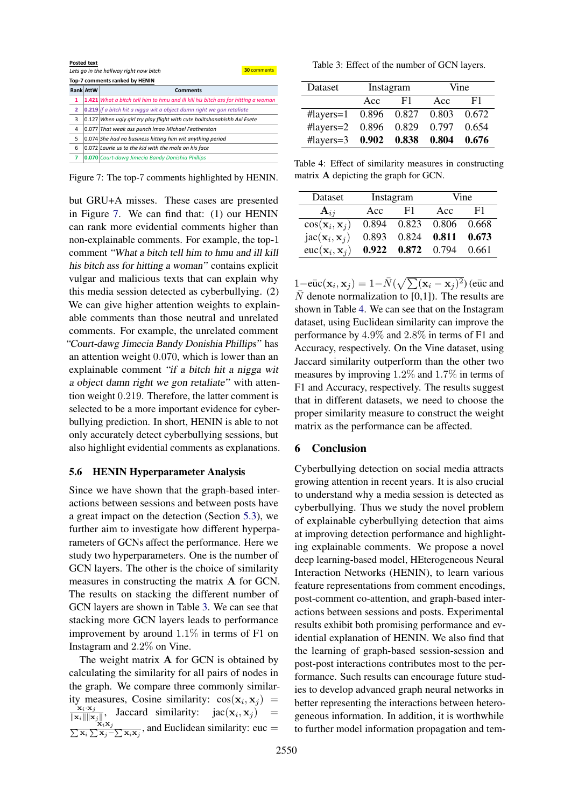<span id="page-7-0"></span>

|                         | <b>Posted text</b><br>30 comments<br>Lets go in the hallway right now bitch |                                                                                          |  |  |  |  |  |
|-------------------------|-----------------------------------------------------------------------------|------------------------------------------------------------------------------------------|--|--|--|--|--|
|                         | Top-7 comments ranked by HENIN                                              |                                                                                          |  |  |  |  |  |
|                         | <b>Rank AttW</b>                                                            | <b>Comments</b>                                                                          |  |  |  |  |  |
| 1                       |                                                                             | <b>1.421</b> What a bitch tell him to hmu and ill kill his bitch ass for hitting a woman |  |  |  |  |  |
| $\overline{\mathbf{2}}$ |                                                                             | 0.219 if a bitch hit a nigga wit a object damn right we gon retaliate                    |  |  |  |  |  |
| 3                       |                                                                             | 0.127 When ugly girl try play flight with cute boiltshanabishh Axi Esete                 |  |  |  |  |  |
| 4                       |                                                                             | 0.077 That weak ass punch Imao Michael Featherston                                       |  |  |  |  |  |
| 5                       |                                                                             | 0.074 She had no business hitting him wit anything period                                |  |  |  |  |  |
| 6                       |                                                                             | 0.072 Laurie us to the kid with the mole on his face                                     |  |  |  |  |  |
| 7                       |                                                                             | 0.070 Court-dawg Jimecia Bandy Donishia Phillips                                         |  |  |  |  |  |

Figure 7: The top-7 comments highlighted by HENIN.

but GRU+A misses. These cases are presented in Figure [7.](#page-7-0) We can find that: (1) our HENIN can rank more evidential comments higher than non-explainable comments. For example, the top-1 comment "What a bitch tell him to hmu and ill kill his bitch ass for hitting a woman" contains explicit vulgar and malicious texts that can explain why this media session detected as cyberbullying. (2) We can give higher attention weights to explainable comments than those neutral and unrelated comments. For example, the unrelated comment "Court-dawg Jimecia Bandy Donishia Phillips" has an attention weight 0.070, which is lower than an explainable comment "if a bitch hit a nigga wit a object damn right we gon retaliate" with attention weight 0.219. Therefore, the latter comment is selected to be a more important evidence for cyberbullying prediction. In short, HENIN is able to not only accurately detect cyberbullying sessions, but also highlight evidential comments as explanations.

#### 5.6 HENIN Hyperparameter Analysis

Since we have shown that the graph-based interactions between sessions and between posts have a great impact on the detection (Section [5.3\)](#page-5-3), we further aim to investigate how different hyperparameters of GCNs affect the performance. Here we study two hyperparameters. One is the number of GCN layers. The other is the choice of similarity measures in constructing the matrix A for GCN. The results on stacking the different number of GCN layers are shown in Table [3.](#page-7-1) We can see that stacking more GCN layers leads to performance improvement by around 1.1% in terms of F1 on Instagram and 2.2% on Vine.

The weight matrix A for GCN is obtained by calculating the similarity for all pairs of nodes in the graph. We compare three commonly similarity measures, Cosine similarity:  $cos(\mathbf{x}_i, \mathbf{x}_j)$  =  $\mathbf{x}_i\!\cdot\!\mathbf{x}_j$  $\frac{\mathbf{x}_i \cdot \mathbf{x}_j}{\|\mathbf{x}_i\| \|\mathbf{x}_j\|}$ , Jaccard similarity:  $\text{jac}(\mathbf{x}_i, \mathbf{x}_j)$  =  $\frac{\sum_{\mathbf{x}_i} \mathbf{x}_j}{\sum_{\mathbf{x}_j} \sum_{\mathbf{x}_j - \sum_{\mathbf{x}_i} \mathbf{x}_j}$ , and Euclidean similarity: euc =

<span id="page-7-1"></span>Table 3: Effect of the number of GCN layers.

| Dataset                       |             | Instagram     | Vine  |       |  |
|-------------------------------|-------------|---------------|-------|-------|--|
|                               | Acc         | F1            | Acc   | F1    |  |
| $\text{Hayers}=1$ 0.896 0.827 |             |               | 0.803 | 0.672 |  |
| $\#layers = 2$                | 0.896 0.829 |               | 0.797 | 0.654 |  |
| $\# \text{layers} = 3$        |             | $0.902$ 0.838 | 0.804 | 0.676 |  |

<span id="page-7-2"></span>Table 4: Effect of similarity measures in constructing matrix A depicting the graph for GCN.

| Dataset                                    |           | Instagram | Vine  |       |  |
|--------------------------------------------|-----------|-----------|-------|-------|--|
| ${\bf A}_{ij}$                             | F1<br>Acc |           | Acc   | F1    |  |
| $cos(\mathbf{x}_i, \mathbf{x}_j)$          | 0.894     | 0.823     | 0.806 | 0.668 |  |
| $\mathrm{jac}(\mathbf{x}_i, \mathbf{x}_j)$ | 0.893     | 0.824     | 0.811 | 0.673 |  |
| $euc(\mathbf{x}_i, \mathbf{x}_j)$          | 0.922     | 0.872     | 0.794 | 0.661 |  |

 $1-\bar{\mathrm{euc}}(\mathbf{x}_i, \mathbf{x}_j) = 1 - \bar{N}(\sqrt{\sum(\mathbf{x}_i - \mathbf{x}_j)^2})$  (euc and  $\overline{N}$  denote normalization to [0,1]). The results are shown in Table [4.](#page-7-2) We can see that on the Instagram dataset, using Euclidean similarity can improve the performance by 4.9% and 2.8% in terms of F1 and Accuracy, respectively. On the Vine dataset, using Jaccard similarity outperform than the other two measures by improving 1.2% and 1.7% in terms of F1 and Accuracy, respectively. The results suggest that in different datasets, we need to choose the proper similarity measure to construct the weight matrix as the performance can be affected.

#### 6 Conclusion

Cyberbullying detection on social media attracts growing attention in recent years. It is also crucial to understand why a media session is detected as cyberbullying. Thus we study the novel problem of explainable cyberbullying detection that aims at improving detection performance and highlighting explainable comments. We propose a novel deep learning-based model, HEterogeneous Neural Interaction Networks (HENIN), to learn various feature representations from comment encodings, post-comment co-attention, and graph-based interactions between sessions and posts. Experimental results exhibit both promising performance and evidential explanation of HENIN. We also find that the learning of graph-based session-session and post-post interactions contributes most to the performance. Such results can encourage future studies to develop advanced graph neural networks in better representing the interactions between heterogeneous information. In addition, it is worthwhile to further model information propagation and tem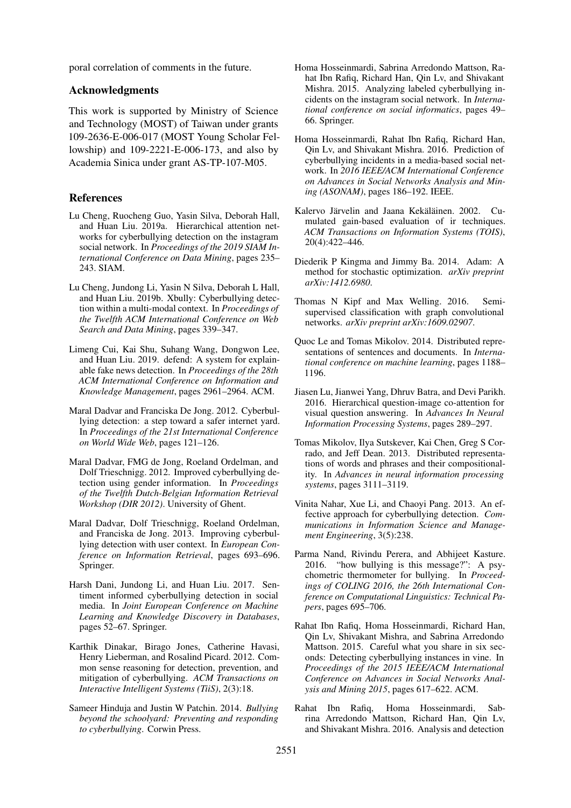poral correlation of comments in the future.

## Acknowledgments

This work is supported by Ministry of Science and Technology (MOST) of Taiwan under grants 109-2636-E-006-017 (MOST Young Scholar Fellowship) and 109-2221-E-006-173, and also by Academia Sinica under grant AS-TP-107-M05.

## References

- <span id="page-8-9"></span>Lu Cheng, Ruocheng Guo, Yasin Silva, Deborah Hall, and Huan Liu. 2019a. Hierarchical attention networks for cyberbullying detection on the instagram social network. In *Proceedings of the 2019 SIAM International Conference on Data Mining*, pages 235– 243. SIAM.
- <span id="page-8-8"></span>Lu Cheng, Jundong Li, Yasin N Silva, Deborah L Hall, and Huan Liu. 2019b. Xbully: Cyberbullying detection within a multi-modal context. In *Proceedings of the Twelfth ACM International Conference on Web Search and Data Mining*, pages 339–347.
- <span id="page-8-12"></span>Limeng Cui, Kai Shu, Suhang Wang, Dongwon Lee, and Huan Liu. 2019. defend: A system for explainable fake news detection. In *Proceedings of the 28th ACM International Conference on Information and Knowledge Management*, pages 2961–2964. ACM.
- <span id="page-8-6"></span>Maral Dadvar and Franciska De Jong. 2012. Cyberbullying detection: a step toward a safer internet yard. In *Proceedings of the 21st International Conference on World Wide Web*, pages 121–126.
- <span id="page-8-2"></span>Maral Dadvar, FMG de Jong, Roeland Ordelman, and Dolf Trieschnigg. 2012. Improved cyberbullying detection using gender information. In *Proceedings of the Twelfth Dutch-Belgian Information Retrieval Workshop (DIR 2012)*. University of Ghent.
- <span id="page-8-7"></span>Maral Dadvar, Dolf Trieschnigg, Roeland Ordelman, and Franciska de Jong. 2013. Improving cyberbullying detection with user context. In *European Conference on Information Retrieval*, pages 693–696. Springer.
- <span id="page-8-5"></span>Harsh Dani, Jundong Li, and Huan Liu. 2017. Sentiment informed cyberbullying detection in social media. In *Joint European Conference on Machine Learning and Knowledge Discovery in Databases*, pages 52–67. Springer.
- <span id="page-8-0"></span>Karthik Dinakar, Birago Jones, Catherine Havasi, Henry Lieberman, and Rosalind Picard. 2012. Common sense reasoning for detection, prevention, and mitigation of cyberbullying. *ACM Transactions on Interactive Intelligent Systems (TiiS)*, 2(3):18.
- <span id="page-8-1"></span>Sameer Hinduja and Justin W Patchin. 2014. *Bullying beyond the schoolyard: Preventing and responding to cyberbullying*. Corwin Press.
- <span id="page-8-15"></span>Homa Hosseinmardi, Sabrina Arredondo Mattson, Rahat Ibn Rafiq, Richard Han, Qin Lv, and Shivakant Mishra. 2015. Analyzing labeled cyberbullying incidents on the instagram social network. In *International conference on social informatics*, pages 49– 66. Springer.
- <span id="page-8-16"></span>Homa Hosseinmardi, Rahat Ibn Rafiq, Richard Han, Qin Lv, and Shivakant Mishra. 2016. Prediction of cyberbullying incidents in a media-based social network. In *2016 IEEE/ACM International Conference on Advances in Social Networks Analysis and Mining (ASONAM)*, pages 186–192. IEEE.
- <span id="page-8-20"></span>Kalervo Järvelin and Jaana Kekäläinen. 2002. Cumulated gain-based evaluation of ir techniques. *ACM Transactions on Information Systems (TOIS)*, 20(4):422–446.
- <span id="page-8-14"></span>Diederik P Kingma and Jimmy Ba. 2014. Adam: A method for stochastic optimization. *arXiv preprint arXiv:1412.6980*.
- <span id="page-8-13"></span>Thomas N Kipf and Max Welling. 2016. Semisupervised classification with graph convolutional networks. *arXiv preprint arXiv:1609.02907*.
- <span id="page-8-19"></span>Quoc Le and Tomas Mikolov. 2014. Distributed representations of sentences and documents. In *International conference on machine learning*, pages 1188– 1196.
- <span id="page-8-11"></span>Jiasen Lu, Jianwei Yang, Dhruv Batra, and Devi Parikh. 2016. Hierarchical question-image co-attention for visual question answering. In *Advances In Neural Information Processing Systems*, pages 289–297.
- <span id="page-8-10"></span>Tomas Mikolov, Ilya Sutskever, Kai Chen, Greg S Corrado, and Jeff Dean. 2013. Distributed representations of words and phrases and their compositionality. In *Advances in neural information processing systems*, pages 3111–3119.
- <span id="page-8-3"></span>Vinita Nahar, Xue Li, and Chaoyi Pang. 2013. An effective approach for cyberbullying detection. *Communications in Information Science and Management Engineering*, 3(5):238.
- <span id="page-8-4"></span>Parma Nand, Rivindu Perera, and Abhijeet Kasture. 2016. "how bullying is this message?": A psychometric thermometer for bullying. In *Proceedings of COLING 2016, the 26th International Conference on Computational Linguistics: Technical Papers*, pages 695–706.
- <span id="page-8-17"></span>Rahat Ibn Rafiq, Homa Hosseinmardi, Richard Han, Qin Lv, Shivakant Mishra, and Sabrina Arredondo Mattson. 2015. Careful what you share in six seconds: Detecting cyberbullying instances in vine. In *Proceedings of the 2015 IEEE/ACM International Conference on Advances in Social Networks Analysis and Mining 2015*, pages 617–622. ACM.
- <span id="page-8-18"></span>Rahat Ibn Rafiq, Homa Hosseinmardi, Sabrina Arredondo Mattson, Richard Han, Qin Lv, and Shivakant Mishra. 2016. Analysis and detection